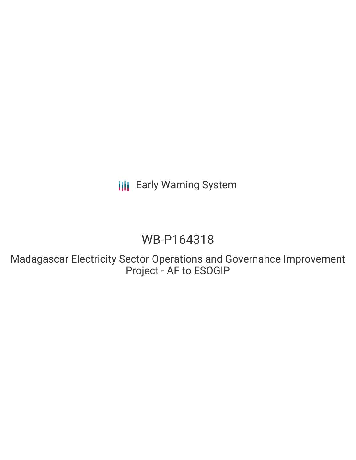**III** Early Warning System

# WB-P164318

Madagascar Electricity Sector Operations and Governance Improvement Project - AF to ESOGIP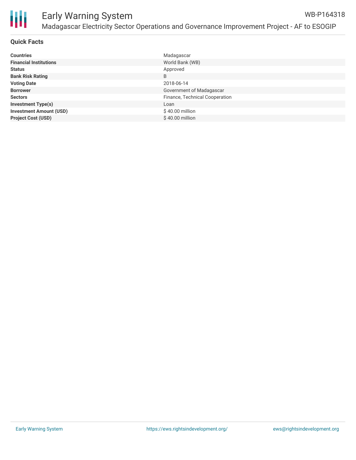

## **Quick Facts**

| <b>Countries</b>               | Madagascar                     |
|--------------------------------|--------------------------------|
| <b>Financial Institutions</b>  | World Bank (WB)                |
| <b>Status</b>                  | Approved                       |
| <b>Bank Risk Rating</b>        | B                              |
| <b>Voting Date</b>             | 2018-06-14                     |
| <b>Borrower</b>                | Government of Madagascar       |
| <b>Sectors</b>                 | Finance, Technical Cooperation |
| <b>Investment Type(s)</b>      | Loan                           |
| <b>Investment Amount (USD)</b> | \$40.00 million                |
| <b>Project Cost (USD)</b>      | \$40.00 million                |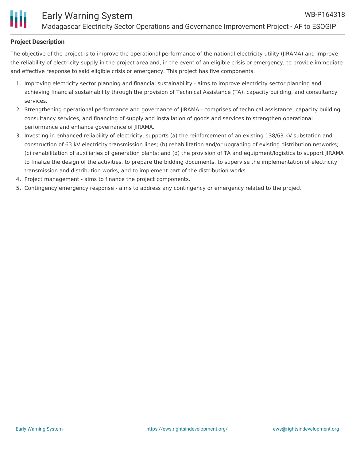

## **Project Description**

The objective of the project is to improve the operational performance of the national electricity utility (JIRAMA) and improve the reliability of electricity supply in the project area and, in the event of an eligible crisis or emergency, to provide immediate and effective response to said eligible crisis or emergency. This project has five components.

- 1. Improving electricity sector planning and financial sustainability aims to improve electricity sector planning and achieving financial sustainability through the provision of Technical Assistance (TA), capacity building, and consultancy services.
- 2. Strengthening operational performance and governance of JIRAMA comprises of technical assistance, capacity building, consultancy services, and financing of supply and installation of goods and services to strengthen operational performance and enhance governance of JIRAMA.
- 3. Investing in enhanced reliability of electricity, supports (a) the reinforcement of an existing 138/63 kV substation and construction of 63 kV electricity transmission lines; (b) rehabilitation and/or upgrading of existing distribution networks; (c) rehabilitation of auxiliaries of generation plants; and (d) the provision of TA and equipment/logistics to support JIRAMA to finalize the design of the activities, to prepare the bidding documents, to supervise the implementation of electricity transmission and distribution works, and to implement part of the distribution works.
- 4. Project management aims to finance the project components.
- 5. Contingency emergency response aims to address any contingency or emergency related to the project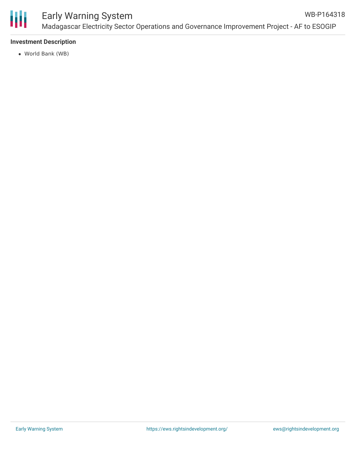

### **Investment Description**

World Bank (WB)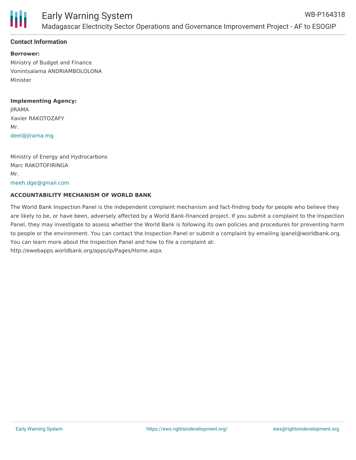

# **Contact Information**

**Borrower:** Ministry of Budget and Finance Vonintsalama ANDRIAMBOLOLONA Minister

**Implementing Agency:** JIRAMA Xavier RAKOTOZAFY Mr. [deel@jirama.mg](mailto:deel@jirama.mg)

Ministry of Energy and Hydrocarbons Marc RAKOTOFIRINGA Mr. [meeh.dge@gmail.com](mailto:meeh.dge@gmail.com)

# **ACCOUNTABILITY MECHANISM OF WORLD BANK**

The World Bank Inspection Panel is the independent complaint mechanism and fact-finding body for people who believe they are likely to be, or have been, adversely affected by a World Bank-financed project. If you submit a complaint to the Inspection Panel, they may investigate to assess whether the World Bank is following its own policies and procedures for preventing harm to people or the environment. You can contact the Inspection Panel or submit a complaint by emailing ipanel@worldbank.org. You can learn more about the Inspection Panel and how to file a complaint at: http://ewebapps.worldbank.org/apps/ip/Pages/Home.aspx.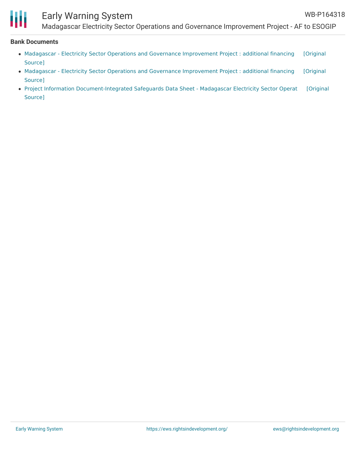

# Early Warning System

Madagascar Electricity Sector Operations and Governance Improvement Project - AF to ESOGIP

#### **Bank Documents**

- Madagascar Electricity Sector Operations and Governance [Improvement](https://ewsdata.rightsindevelopment.org/files/documents/18/WB-P164318_79klnHO.pdf) Project : additional financing [Original Source]
- Madagascar Electricity Sector Operations and Governance [Improvement](https://ewsdata.rightsindevelopment.org/files/documents/18/WB-P164318_G56vCh8.pdf) Project : additional financing [Original Source]
- Project Information [Document-Integrated](https://ewsdata.rightsindevelopment.org/files/documents/18/WB-P164318.pdf) Safeguards Data Sheet Madagascar Electricity Sector Operat [Original Source]